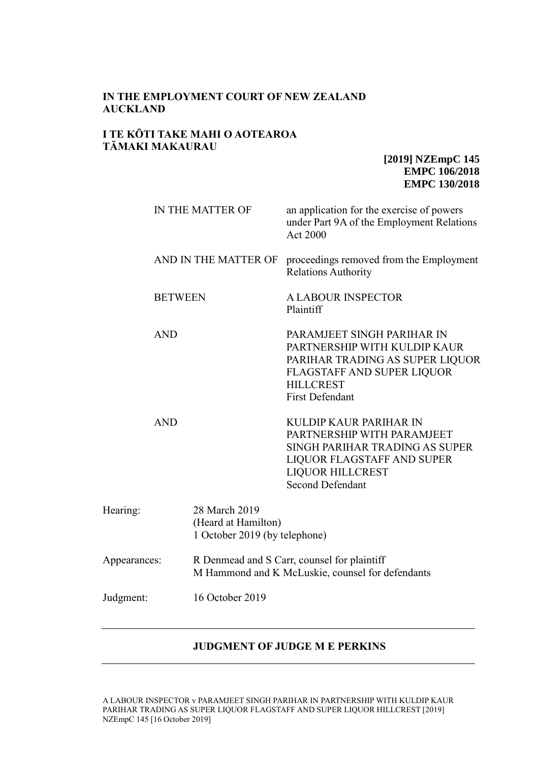## **IN THE EMPLOYMENT COURT OF NEW ZEALAND AUCKLAND**

#### **I TE KŌTI TAKE MAHI O AOTEAROA TĀMAKI MAKAURAU**

**[2019] NZEmpC 145 EMPC 106/2018 EMPC 130/2018**

|                              | IN THE MATTER OF                                                                                | an application for the exercise of powers<br>under Part 9A of the Employment Relations<br><b>Act 2000</b>                                                                  |  |
|------------------------------|-------------------------------------------------------------------------------------------------|----------------------------------------------------------------------------------------------------------------------------------------------------------------------------|--|
|                              | AND IN THE MATTER OF                                                                            | proceedings removed from the Employment<br><b>Relations Authority</b>                                                                                                      |  |
| <b>BETWEEN</b>               |                                                                                                 | <b>A LABOUR INSPECTOR</b><br>Plaintiff                                                                                                                                     |  |
| <b>AND</b>                   |                                                                                                 | PARAMJEET SINGH PARIHAR IN<br>PARTNERSHIP WITH KULDIP KAUR<br>PARIHAR TRADING AS SUPER LIQUOR<br>FLAGSTAFF AND SUPER LIQUOR<br><b>HILLCREST</b><br><b>First Defendant</b>  |  |
| <b>AND</b>                   |                                                                                                 | KULDIP KAUR PARIHAR IN<br>PARTNERSHIP WITH PARAMJEET<br>SINGH PARIHAR TRADING AS SUPER<br>LIQUOR FLAGSTAFF AND SUPER<br><b>LIQUOR HILLCREST</b><br><b>Second Defendant</b> |  |
| Hearing:                     | 28 March 2019<br>(Heard at Hamilton)<br>1 October 2019 (by telephone)                           |                                                                                                                                                                            |  |
| Appearances:                 | R Denmead and S Carr, counsel for plaintiff<br>M Hammond and K McLuskie, counsel for defendants |                                                                                                                                                                            |  |
| 16 October 2019<br>Judgment: |                                                                                                 |                                                                                                                                                                            |  |

## **JUDGMENT OF JUDGE M E PERKINS**

A LABOUR INSPECTOR v PARAMJEET SINGH PARIHAR IN PARTNERSHIP WITH KULDIP KAUR PARIHAR TRADING AS SUPER LIQUOR FLAGSTAFF AND SUPER LIQUOR HILLCREST [2019] NZEmpC 145 [16 October 2019]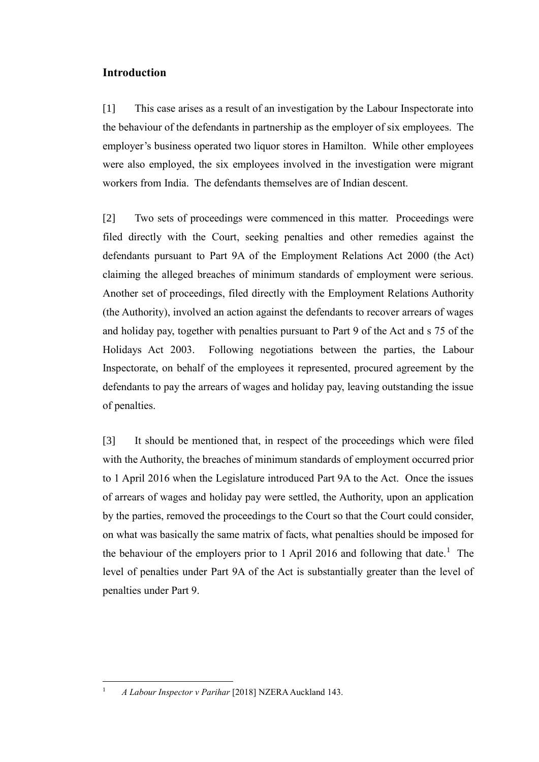## **Introduction**

[1] This case arises as a result of an investigation by the Labour Inspectorate into the behaviour of the defendants in partnership as the employer of six employees. The employer's business operated two liquor stores in Hamilton. While other employees were also employed, the six employees involved in the investigation were migrant workers from India. The defendants themselves are of Indian descent.

[2] Two sets of proceedings were commenced in this matter. Proceedings were filed directly with the Court, seeking penalties and other remedies against the defendants pursuant to Part 9A of the Employment Relations Act 2000 (the Act) claiming the alleged breaches of minimum standards of employment were serious. Another set of proceedings, filed directly with the Employment Relations Authority (the Authority), involved an action against the defendants to recover arrears of wages and holiday pay, together with penalties pursuant to Part 9 of the Act and s 75 of the Holidays Act 2003. Following negotiations between the parties, the Labour Inspectorate, on behalf of the employees it represented, procured agreement by the defendants to pay the arrears of wages and holiday pay, leaving outstanding the issue of penalties.

[3] It should be mentioned that, in respect of the proceedings which were filed with the Authority, the breaches of minimum standards of employment occurred prior to 1 April 2016 when the Legislature introduced Part 9A to the Act. Once the issues of arrears of wages and holiday pay were settled, the Authority, upon an application by the parties, removed the proceedings to the Court so that the Court could consider, on what was basically the same matrix of facts, what penalties should be imposed for the behaviour of the employers prior to 1 April 2016 and following that date.<sup>1</sup> The level of penalties under Part 9A of the Act is substantially greater than the level of penalties under Part 9.

 $\overline{a}$ 

<sup>1</sup> *A Labour Inspector v Parihar* [2018] NZERA Auckland 143.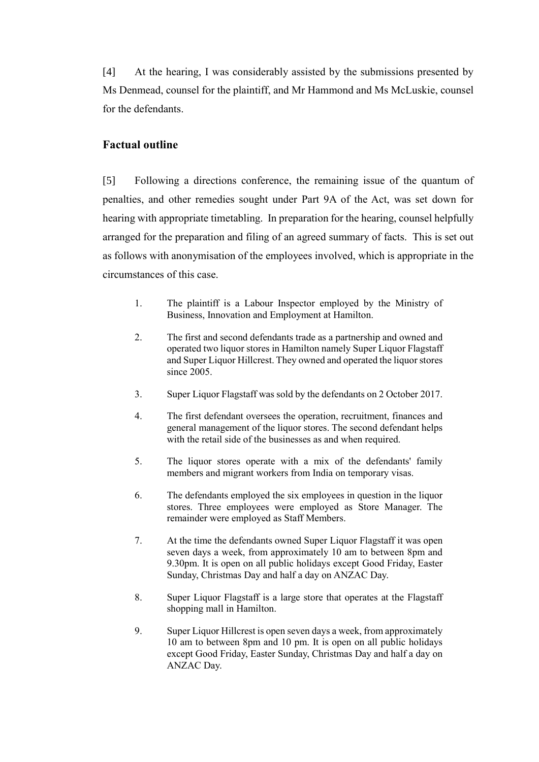[4] At the hearing, I was considerably assisted by the submissions presented by Ms Denmead, counsel for the plaintiff, and Mr Hammond and Ms McLuskie, counsel for the defendants.

## **Factual outline**

[5] Following a directions conference, the remaining issue of the quantum of penalties, and other remedies sought under Part 9A of the Act, was set down for hearing with appropriate timetabling. In preparation for the hearing, counsel helpfully arranged for the preparation and filing of an agreed summary of facts. This is set out as follows with anonymisation of the employees involved, which is appropriate in the circumstances of this case.

- 1. The plaintiff is a Labour Inspector employed by the Ministry of Business, Innovation and Employment at Hamilton.
- 2. The first and second defendants trade as a partnership and owned and operated two liquor stores in Hamilton namely Super Liquor Flagstaff and Super Liquor Hillcrest. They owned and operated the liquor stores since 2005.
- 3. Super Liquor Flagstaff was sold by the defendants on 2 October 2017.
- 4. The first defendant oversees the operation, recruitment, finances and general management of the liquor stores. The second defendant helps with the retail side of the businesses as and when required.
- 5. The liquor stores operate with a mix of the defendants' family members and migrant workers from India on temporary visas.
- 6. The defendants employed the six employees in question in the liquor stores. Three employees were employed as Store Manager. The remainder were employed as Staff Members.
- 7. At the time the defendants owned Super Liquor Flagstaff it was open seven days a week, from approximately 10 am to between 8pm and 9.30pm. It is open on all public holidays except Good Friday, Easter Sunday, Christmas Day and half a day on ANZAC Day.
- 8. Super Liquor Flagstaff is a large store that operates at the Flagstaff shopping mall in Hamilton.
- 9. Super Liquor Hillcrest is open seven days a week, from approximately 10 am to between 8pm and 10 pm. It is open on all public holidays except Good Friday, Easter Sunday, Christmas Day and half a day on ANZAC Day.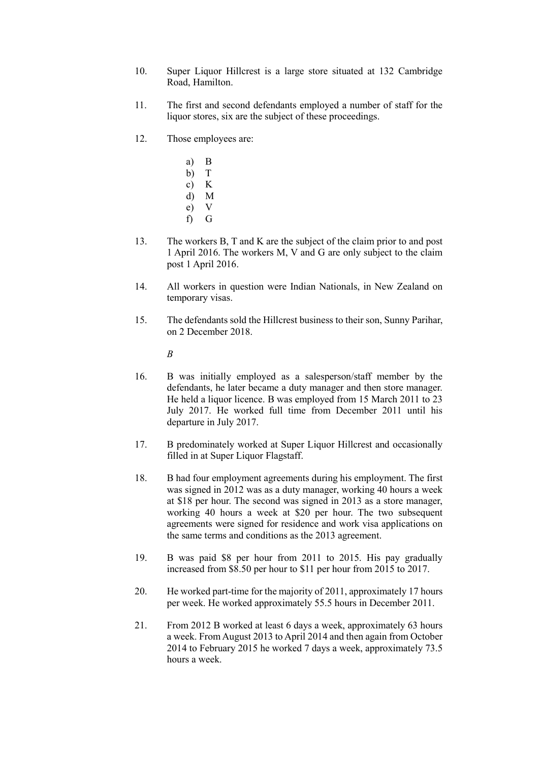- 10. Super Liquor Hillcrest is a large store situated at 132 Cambridge Road, Hamilton.
- 11. The first and second defendants employed a number of staff for the liquor stores, six are the subject of these proceedings.
- 12. Those employees are:
	- a) B
	- b) T
	- c) K
	- d) M
	- e) V
	- f) G
- 13. The workers B, T and K are the subject of the claim prior to and post 1 April 2016. The workers M, V and G are only subject to the claim post 1 April 2016.
- 14. All workers in question were Indian Nationals, in New Zealand on temporary visas.
- 15. The defendants sold the Hillcrest business to their son, Sunny Parihar, on 2 December 2018.

*B*

- 16. B was initially employed as a salesperson/staff member by the defendants, he later became a duty manager and then store manager. He held a liquor licence. B was employed from 15 March 2011 to 23 July 2017. He worked full time from December 2011 until his departure in July 2017.
- 17. B predominately worked at Super Liquor Hillcrest and occasionally filled in at Super Liquor Flagstaff.
- 18. B had four employment agreements during his employment. The first was signed in 2012 was as a duty manager, working 40 hours a week at \$18 per hour. The second was signed in 2013 as a store manager, working 40 hours a week at \$20 per hour. The two subsequent agreements were signed for residence and work visa applications on the same terms and conditions as the 2013 agreement.
- 19. B was paid \$8 per hour from 2011 to 2015. His pay gradually increased from \$8.50 per hour to \$11 per hour from 2015 to 2017.
- 20. He worked part-time for the majority of 2011, approximately 17 hours per week. He worked approximately 55.5 hours in December 2011.
- 21. From 2012 B worked at least 6 days a week, approximately 63 hours a week. From August 2013 to April 2014 and then again from October 2014 to February 2015 he worked 7 days a week, approximately 73.5 hours a week.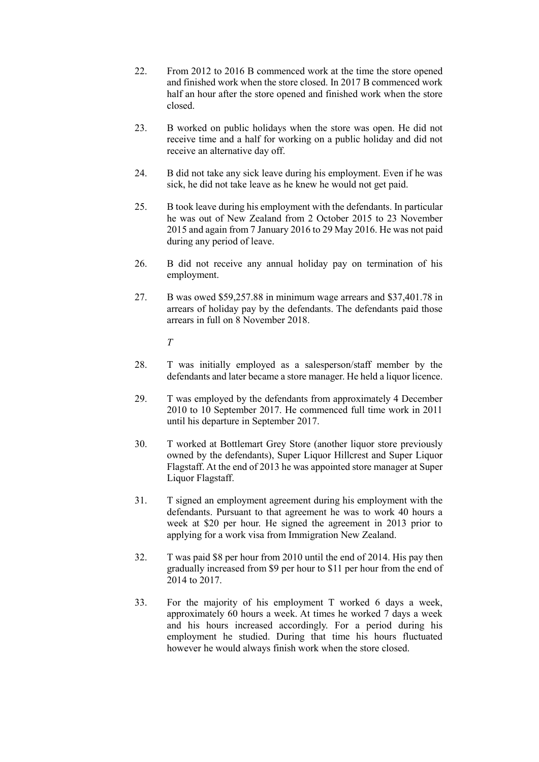- 22. From 2012 to 2016 B commenced work at the time the store opened and finished work when the store closed. In 2017 B commenced work half an hour after the store opened and finished work when the store closed.
- 23. B worked on public holidays when the store was open. He did not receive time and a half for working on a public holiday and did not receive an alternative day off.
- 24. B did not take any sick leave during his employment. Even if he was sick, he did not take leave as he knew he would not get paid.
- 25. B took leave during his employment with the defendants. In particular he was out of New Zealand from 2 October 2015 to 23 November 2015 and again from 7 January 2016 to 29 May 2016. He was not paid during any period of leave.
- 26. B did not receive any annual holiday pay on termination of his employment.
- 27. B was owed \$59,257.88 in minimum wage arrears and \$37,401.78 in arrears of holiday pay by the defendants. The defendants paid those arrears in full on 8 November 2018.

*T*

- 28. T was initially employed as a salesperson/staff member by the defendants and later became a store manager. He held a liquor licence.
- 29. T was employed by the defendants from approximately 4 December 2010 to 10 September 2017. He commenced full time work in 2011 until his departure in September 2017.
- 30. T worked at Bottlemart Grey Store (another liquor store previously owned by the defendants), Super Liquor Hillcrest and Super Liquor Flagstaff. At the end of 2013 he was appointed store manager at Super Liquor Flagstaff.
- 31. T signed an employment agreement during his employment with the defendants. Pursuant to that agreement he was to work 40 hours a week at \$20 per hour. He signed the agreement in 2013 prior to applying for a work visa from Immigration New Zealand.
- 32. T was paid \$8 per hour from 2010 until the end of 2014. His pay then gradually increased from \$9 per hour to \$11 per hour from the end of 2014 to 2017.
- 33. For the majority of his employment T worked 6 days a week, approximately 60 hours a week. At times he worked 7 days a week and his hours increased accordingly. For a period during his employment he studied. During that time his hours fluctuated however he would always finish work when the store closed.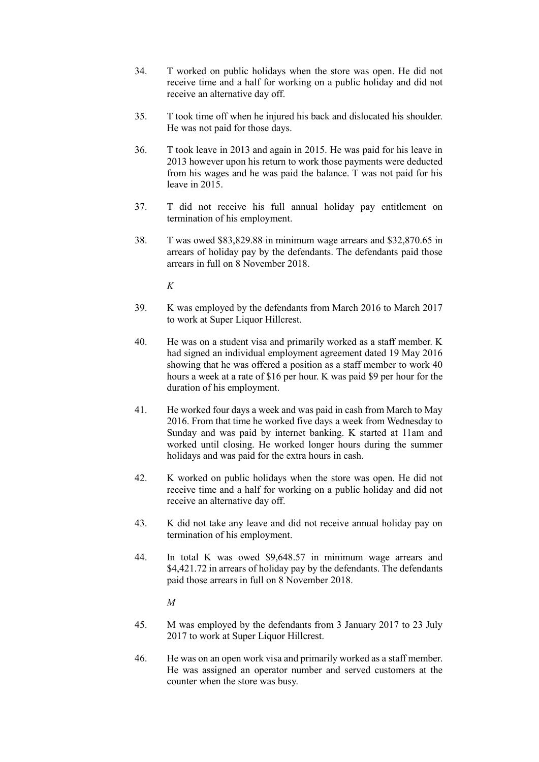- 34. T worked on public holidays when the store was open. He did not receive time and a half for working on a public holiday and did not receive an alternative day off.
- 35. T took time off when he injured his back and dislocated his shoulder. He was not paid for those days.
- 36. T took leave in 2013 and again in 2015. He was paid for his leave in 2013 however upon his return to work those payments were deducted from his wages and he was paid the balance. T was not paid for his leave in 2015.
- 37. T did not receive his full annual holiday pay entitlement on termination of his employment.
- 38. T was owed \$83,829.88 in minimum wage arrears and \$32,870.65 in arrears of holiday pay by the defendants. The defendants paid those arrears in full on 8 November 2018.

*K*

- 39. K was employed by the defendants from March 2016 to March 2017 to work at Super Liquor Hillcrest.
- 40. He was on a student visa and primarily worked as a staff member. K had signed an individual employment agreement dated 19 May 2016 showing that he was offered a position as a staff member to work 40 hours a week at a rate of \$16 per hour. K was paid \$9 per hour for the duration of his employment.
- 41. He worked four days a week and was paid in cash from March to May 2016. From that time he worked five days a week from Wednesday to Sunday and was paid by internet banking. K started at 11am and worked until closing. He worked longer hours during the summer holidays and was paid for the extra hours in cash.
- 42. K worked on public holidays when the store was open. He did not receive time and a half for working on a public holiday and did not receive an alternative day off.
- 43. K did not take any leave and did not receive annual holiday pay on termination of his employment.
- 44. In total K was owed \$9,648.57 in minimum wage arrears and \$4,421.72 in arrears of holiday pay by the defendants. The defendants paid those arrears in full on 8 November 2018.

*M*

- 45. M was employed by the defendants from 3 January 2017 to 23 July 2017 to work at Super Liquor Hillcrest.
- 46. He was on an open work visa and primarily worked as a staff member. He was assigned an operator number and served customers at the counter when the store was busy.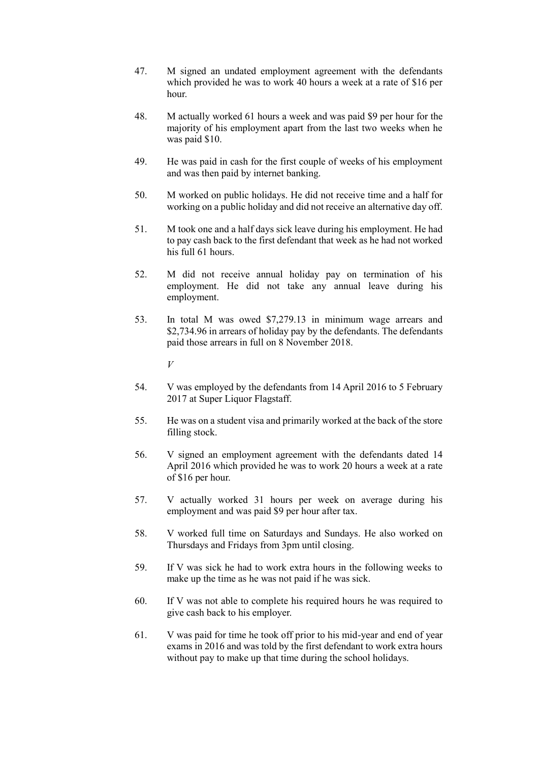- 47. M signed an undated employment agreement with the defendants which provided he was to work 40 hours a week at a rate of \$16 per hour.
- 48. M actually worked 61 hours a week and was paid \$9 per hour for the majority of his employment apart from the last two weeks when he was paid \$10.
- 49. He was paid in cash for the first couple of weeks of his employment and was then paid by internet banking.
- 50. M worked on public holidays. He did not receive time and a half for working on a public holiday and did not receive an alternative day off.
- 51. M took one and a half days sick leave during his employment. He had to pay cash back to the first defendant that week as he had not worked his full 61 hours.
- 52. M did not receive annual holiday pay on termination of his employment. He did not take any annual leave during his employment.
- 53. In total M was owed \$7,279.13 in minimum wage arrears and \$2,734.96 in arrears of holiday pay by the defendants. The defendants paid those arrears in full on 8 November 2018.

*V*

- 54. V was employed by the defendants from 14 April 2016 to 5 February 2017 at Super Liquor Flagstaff.
- 55. He was on a student visa and primarily worked at the back of the store filling stock.
- 56. V signed an employment agreement with the defendants dated 14 April 2016 which provided he was to work 20 hours a week at a rate of \$16 per hour.
- 57. V actually worked 31 hours per week on average during his employment and was paid \$9 per hour after tax.
- 58. V worked full time on Saturdays and Sundays. He also worked on Thursdays and Fridays from 3pm until closing.
- 59. If V was sick he had to work extra hours in the following weeks to make up the time as he was not paid if he was sick.
- 60. If V was not able to complete his required hours he was required to give cash back to his employer.
- 61. V was paid for time he took off prior to his mid-year and end of year exams in 2016 and was told by the first defendant to work extra hours without pay to make up that time during the school holidays.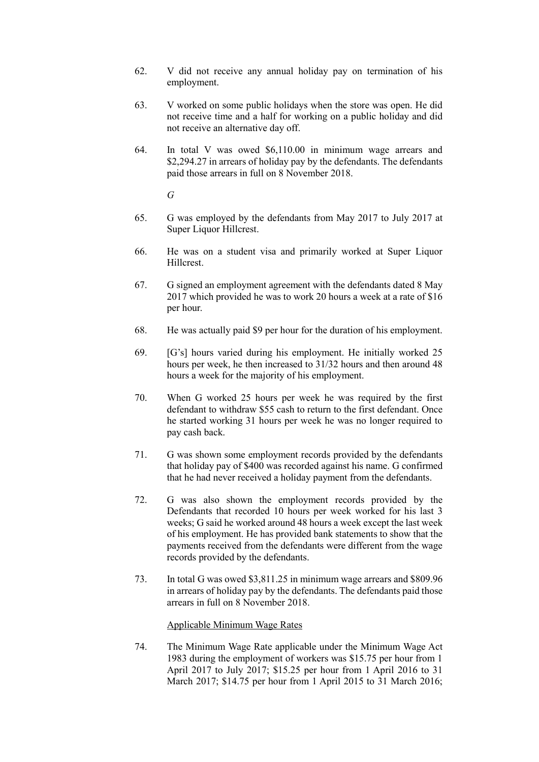- 62. V did not receive any annual holiday pay on termination of his employment.
- 63. V worked on some public holidays when the store was open. He did not receive time and a half for working on a public holiday and did not receive an alternative day off.
- 64. In total V was owed \$6,110.00 in minimum wage arrears and \$2,294.27 in arrears of holiday pay by the defendants. The defendants paid those arrears in full on 8 November 2018.

*G*

- 65. G was employed by the defendants from May 2017 to July 2017 at Super Liquor Hillcrest.
- 66. He was on a student visa and primarily worked at Super Liquor Hillcrest.
- 67. G signed an employment agreement with the defendants dated 8 May 2017 which provided he was to work 20 hours a week at a rate of \$16 per hour.
- 68. He was actually paid \$9 per hour for the duration of his employment.
- 69. [G's] hours varied during his employment. He initially worked 25 hours per week, he then increased to 31/32 hours and then around 48 hours a week for the majority of his employment.
- 70. When G worked 25 hours per week he was required by the first defendant to withdraw \$55 cash to return to the first defendant. Once he started working 31 hours per week he was no longer required to pay cash back.
- 71. G was shown some employment records provided by the defendants that holiday pay of \$400 was recorded against his name. G confirmed that he had never received a holiday payment from the defendants.
- 72. G was also shown the employment records provided by the Defendants that recorded 10 hours per week worked for his last 3 weeks; G said he worked around 48 hours a week except the last week of his employment. He has provided bank statements to show that the payments received from the defendants were different from the wage records provided by the defendants.
- 73. In total G was owed \$3,811.25 in minimum wage arrears and \$809.96 in arrears of holiday pay by the defendants. The defendants paid those arrears in full on 8 November 2018.

#### Applicable Minimum Wage Rates

74. The Minimum Wage Rate applicable under the Minimum Wage Act 1983 during the employment of workers was \$15.75 per hour from 1 April 2017 to July 2017; \$15.25 per hour from 1 April 2016 to 31 March 2017; \$14.75 per hour from 1 April 2015 to 31 March 2016;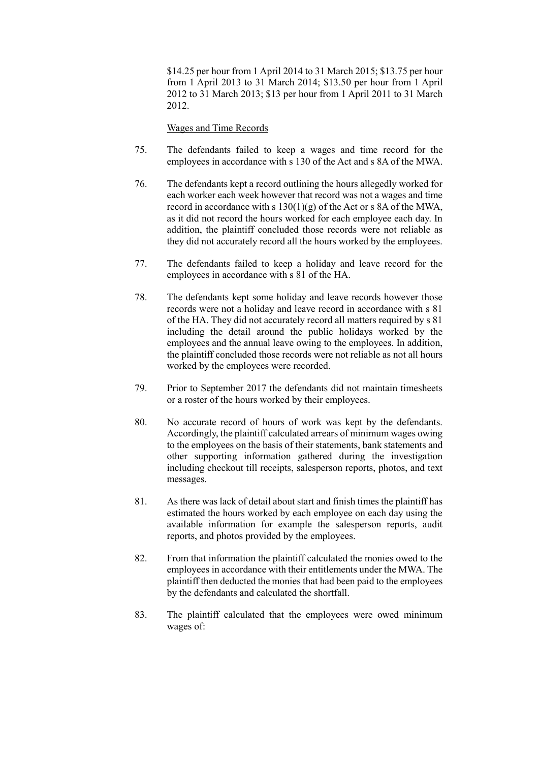\$14.25 per hour from 1 April 2014 to 31 March 2015; \$13.75 per hour from 1 April 2013 to 31 March 2014; \$13.50 per hour from 1 April 2012 to 31 March 2013; \$13 per hour from 1 April 2011 to 31 March 2012.

Wages and Time Records

- 75. The defendants failed to keep a wages and time record for the employees in accordance with s 130 of the Act and s 8A of the MWA.
- 76. The defendants kept a record outlining the hours allegedly worked for each worker each week however that record was not a wages and time record in accordance with s 130(1)(g) of the Act or s 8A of the MWA, as it did not record the hours worked for each employee each day. In addition, the plaintiff concluded those records were not reliable as they did not accurately record all the hours worked by the employees.
- 77. The defendants failed to keep a holiday and leave record for the employees in accordance with s 81 of the HA.
- 78. The defendants kept some holiday and leave records however those records were not a holiday and leave record in accordance with s 81 of the HA. They did not accurately record all matters required by s 81 including the detail around the public holidays worked by the employees and the annual leave owing to the employees. In addition, the plaintiff concluded those records were not reliable as not all hours worked by the employees were recorded.
- 79. Prior to September 2017 the defendants did not maintain timesheets or a roster of the hours worked by their employees.
- 80. No accurate record of hours of work was kept by the defendants. Accordingly, the plaintiff calculated arrears of minimum wages owing to the employees on the basis of their statements, bank statements and other supporting information gathered during the investigation including checkout till receipts, salesperson reports, photos, and text messages.
- 81. As there was lack of detail about start and finish times the plaintiff has estimated the hours worked by each employee on each day using the available information for example the salesperson reports, audit reports, and photos provided by the employees.
- 82. From that information the plaintiff calculated the monies owed to the employees in accordance with their entitlements under the MWA. The plaintiff then deducted the monies that had been paid to the employees by the defendants and calculated the shortfall.
- 83. The plaintiff calculated that the employees were owed minimum wages of: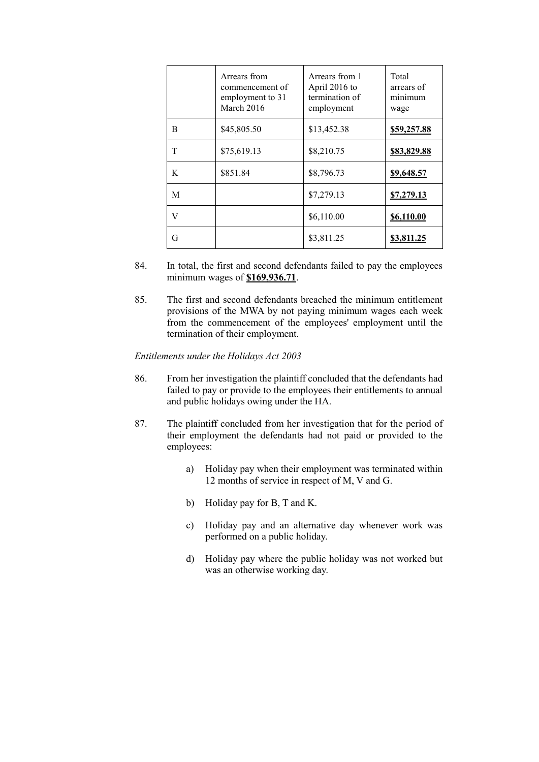|   | Arrears from<br>commencement of<br>employment to 31<br>March 2016 | Arrears from 1<br>April 2016 to<br>termination of<br>employment | Total<br>arrears of<br>minimum<br>wage |
|---|-------------------------------------------------------------------|-----------------------------------------------------------------|----------------------------------------|
| B | \$45,805.50                                                       | \$13,452.38                                                     | \$59,257.88                            |
| T | \$75,619.13                                                       | \$8,210.75                                                      | \$83,829.88                            |
| K | \$851.84                                                          | \$8,796.73                                                      | \$9,648.57                             |
| M |                                                                   | \$7,279.13                                                      | \$7,279.13                             |
| V |                                                                   | \$6,110.00                                                      | \$6,110.00                             |
| G |                                                                   | \$3,811.25                                                      | <u>\$3,811.25</u>                      |

- 84. In total, the first and second defendants failed to pay the employees minimum wages of **\$169,936.71**.
- 85. The first and second defendants breached the minimum entitlement provisions of the MWA by not paying minimum wages each week from the commencement of the employees' employment until the termination of their employment.

*Entitlements under the Holidays Act 2003*

- 86. From her investigation the plaintiff concluded that the defendants had failed to pay or provide to the employees their entitlements to annual and public holidays owing under the HA.
- 87. The plaintiff concluded from her investigation that for the period of their employment the defendants had not paid or provided to the employees:
	- a) Holiday pay when their employment was terminated within 12 months of service in respect of M, V and G.
	- b) Holiday pay for B, T and K.
	- c) Holiday pay and an alternative day whenever work was performed on a public holiday.
	- d) Holiday pay where the public holiday was not worked but was an otherwise working day.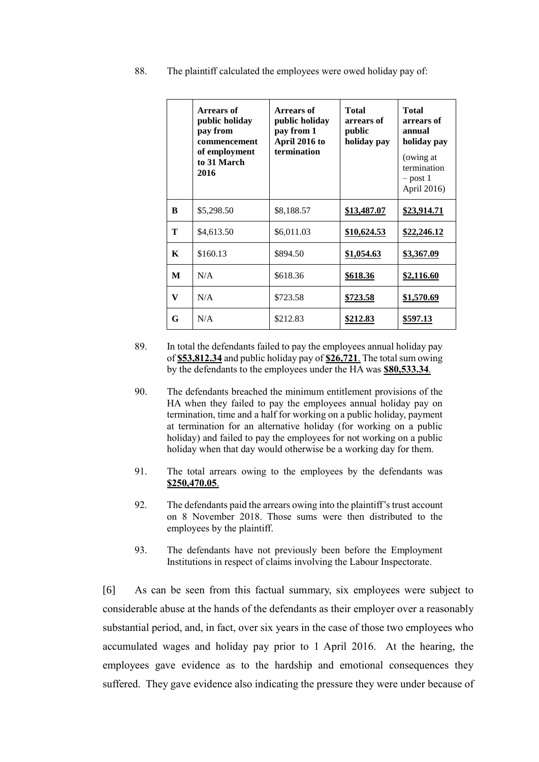|  | 88. |  |  |  | The plaintiff calculated the employees were owed holiday pay of: |
|--|-----|--|--|--|------------------------------------------------------------------|
|--|-----|--|--|--|------------------------------------------------------------------|

|   | Arrears of<br>public holiday<br>pay from<br>commencement<br>of employment<br>to 31 March<br>2016 | Arrears of<br>public holiday<br>pay from 1<br>April 2016 to<br>termination | <b>Total</b><br>arrears of<br>public<br>holiday pay | <b>Total</b><br>arrears of<br>annual<br>holiday pay<br>(owing at<br>termination<br>$-$ post 1<br>April 2016) |
|---|--------------------------------------------------------------------------------------------------|----------------------------------------------------------------------------|-----------------------------------------------------|--------------------------------------------------------------------------------------------------------------|
| B | \$5,298.50                                                                                       | \$8,188.57                                                                 | \$13,487.07                                         | \$23,914.71                                                                                                  |
| Т | \$4,613.50                                                                                       | \$6,011.03                                                                 | \$10,624.53                                         | <u>\$22,246.12</u>                                                                                           |
| K | \$160.13                                                                                         | \$894.50                                                                   | \$1,054.63                                          | \$3,367.09                                                                                                   |
| M | N/A                                                                                              | \$618.36                                                                   | \$618.36                                            | \$2,116.60                                                                                                   |
| V | N/A                                                                                              | \$723.58                                                                   | \$723.58                                            | \$1,570.69                                                                                                   |
| G | N/A                                                                                              | \$212.83                                                                   | <u>\$212.83</u>                                     | \$597.13                                                                                                     |

- 89. In total the defendants failed to pay the employees annual holiday pay of **\$53,812.34** and public holiday pay of **\$26,721**. The total sum owing by the defendants to the employees under the HA was **\$80,533.34**.
- 90. The defendants breached the minimum entitlement provisions of the HA when they failed to pay the employees annual holiday pay on termination, time and a half for working on a public holiday, payment at termination for an alternative holiday (for working on a public holiday) and failed to pay the employees for not working on a public holiday when that day would otherwise be a working day for them.
- 91. The total arrears owing to the employees by the defendants was **\$250,470.05**.
- 92. The defendants paid the arrears owing into the plaintiff's trust account on 8 November 2018. Those sums were then distributed to the employees by the plaintiff.
- 93. The defendants have not previously been before the Employment Institutions in respect of claims involving the Labour Inspectorate.

[6] As can be seen from this factual summary, six employees were subject to considerable abuse at the hands of the defendants as their employer over a reasonably substantial period, and, in fact, over six years in the case of those two employees who accumulated wages and holiday pay prior to 1 April 2016. At the hearing, the employees gave evidence as to the hardship and emotional consequences they suffered. They gave evidence also indicating the pressure they were under because of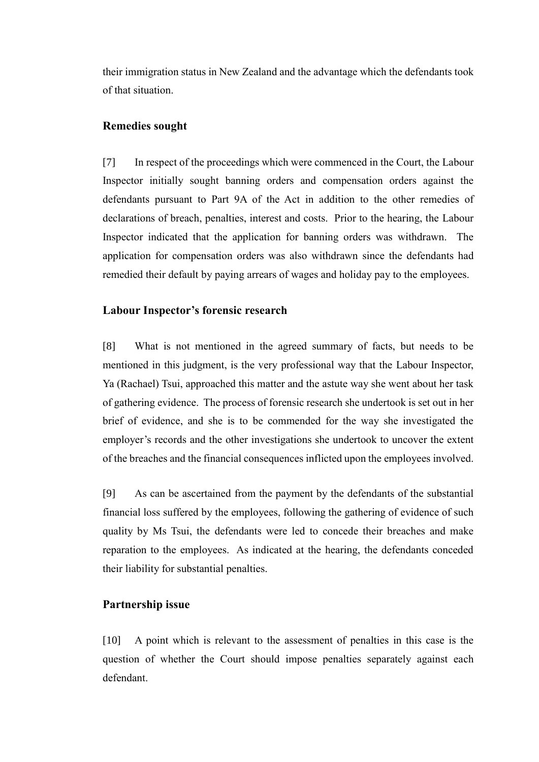their immigration status in New Zealand and the advantage which the defendants took of that situation.

### **Remedies sought**

[7] In respect of the proceedings which were commenced in the Court, the Labour Inspector initially sought banning orders and compensation orders against the defendants pursuant to Part 9A of the Act in addition to the other remedies of declarations of breach, penalties, interest and costs. Prior to the hearing, the Labour Inspector indicated that the application for banning orders was withdrawn. The application for compensation orders was also withdrawn since the defendants had remedied their default by paying arrears of wages and holiday pay to the employees.

### **Labour Inspector's forensic research**

[8] What is not mentioned in the agreed summary of facts, but needs to be mentioned in this judgment, is the very professional way that the Labour Inspector, Ya (Rachael) Tsui, approached this matter and the astute way she went about her task of gathering evidence. The process of forensic research she undertook is set out in her brief of evidence, and she is to be commended for the way she investigated the employer's records and the other investigations she undertook to uncover the extent of the breaches and the financial consequences inflicted upon the employees involved.

[9] As can be ascertained from the payment by the defendants of the substantial financial loss suffered by the employees, following the gathering of evidence of such quality by Ms Tsui, the defendants were led to concede their breaches and make reparation to the employees. As indicated at the hearing, the defendants conceded their liability for substantial penalties.

### **Partnership issue**

[10] A point which is relevant to the assessment of penalties in this case is the question of whether the Court should impose penalties separately against each defendant.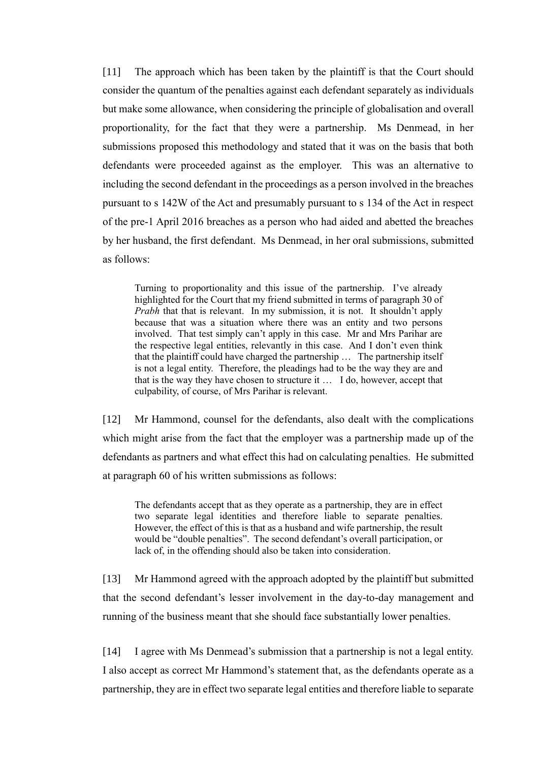[11] The approach which has been taken by the plaintiff is that the Court should consider the quantum of the penalties against each defendant separately as individuals but make some allowance, when considering the principle of globalisation and overall proportionality, for the fact that they were a partnership. Ms Denmead, in her submissions proposed this methodology and stated that it was on the basis that both defendants were proceeded against as the employer. This was an alternative to including the second defendant in the proceedings as a person involved in the breaches pursuant to s 142W of the Act and presumably pursuant to s 134 of the Act in respect of the pre-1 April 2016 breaches as a person who had aided and abetted the breaches by her husband, the first defendant. Ms Denmead, in her oral submissions, submitted as follows:

Turning to proportionality and this issue of the partnership. I've already highlighted for the Court that my friend submitted in terms of paragraph 30 of *Prabh* that that is relevant. In my submission, it is not. It shouldn't apply because that was a situation where there was an entity and two persons involved. That test simply can't apply in this case. Mr and Mrs Parihar are the respective legal entities, relevantly in this case. And I don't even think that the plaintiff could have charged the partnership … The partnership itself is not a legal entity. Therefore, the pleadings had to be the way they are and that is the way they have chosen to structure it … I do, however, accept that culpability, of course, of Mrs Parihar is relevant.

[12] Mr Hammond, counsel for the defendants, also dealt with the complications which might arise from the fact that the employer was a partnership made up of the defendants as partners and what effect this had on calculating penalties. He submitted at paragraph 60 of his written submissions as follows:

The defendants accept that as they operate as a partnership, they are in effect two separate legal identities and therefore liable to separate penalties. However, the effect of this is that as a husband and wife partnership, the result would be "double penalties". The second defendant's overall participation, or lack of, in the offending should also be taken into consideration.

[13] Mr Hammond agreed with the approach adopted by the plaintiff but submitted that the second defendant's lesser involvement in the day-to-day management and running of the business meant that she should face substantially lower penalties.

[14] I agree with Ms Denmead's submission that a partnership is not a legal entity. I also accept as correct Mr Hammond's statement that, as the defendants operate as a partnership, they are in effect two separate legal entities and therefore liable to separate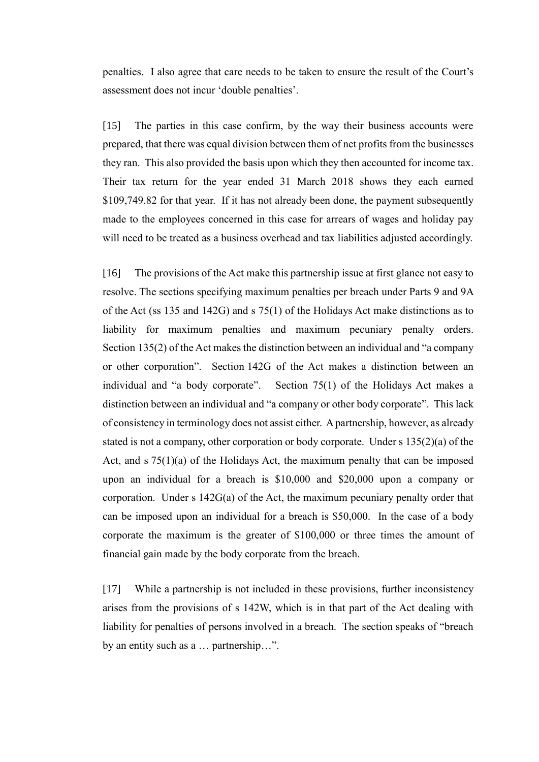penalties. I also agree that care needs to be taken to ensure the result of the Court's assessment does not incur 'double penalties'.

[15] The parties in this case confirm, by the way their business accounts were prepared, that there was equal division between them of net profits from the businesses they ran. This also provided the basis upon which they then accounted for income tax. Their tax return for the year ended 31 March 2018 shows they each earned \$109,749.82 for that year. If it has not already been done, the payment subsequently made to the employees concerned in this case for arrears of wages and holiday pay will need to be treated as a business overhead and tax liabilities adjusted accordingly.

[16] The provisions of the Act make this partnership issue at first glance not easy to resolve. The sections specifying maximum penalties per breach under Parts 9 and 9A of the Act (ss 135 and 142G) and s 75(1) of the Holidays Act make distinctions as to liability for maximum penalties and maximum pecuniary penalty orders. Section 135(2) of the Act makes the distinction between an individual and "a company or other corporation". Section 142G of the Act makes a distinction between an individual and "a body corporate". Section 75(1) of the Holidays Act makes a distinction between an individual and "a company or other body corporate". This lack of consistency in terminology does not assist either. A partnership, however, as already stated is not a company, other corporation or body corporate. Under s 135(2)(a) of the Act, and s 75(1)(a) of the Holidays Act, the maximum penalty that can be imposed upon an individual for a breach is \$10,000 and \$20,000 upon a company or corporation. Under s 142G(a) of the Act, the maximum pecuniary penalty order that can be imposed upon an individual for a breach is \$50,000. In the case of a body corporate the maximum is the greater of \$100,000 or three times the amount of financial gain made by the body corporate from the breach.

[17] While a partnership is not included in these provisions, further inconsistency arises from the provisions of s 142W, which is in that part of the Act dealing with liability for penalties of persons involved in a breach. The section speaks of "breach by an entity such as a … partnership…".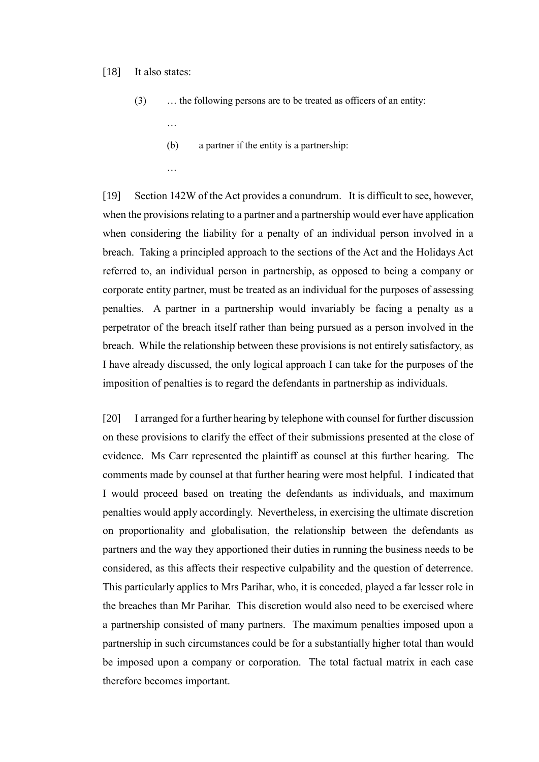#### [18] It also states:

- (3) … the following persons are to be treated as officers of an entity:
	- …
	- (b) a partner if the entity is a partnership:
	- …

[19] Section 142W of the Act provides a conundrum. It is difficult to see, however, when the provisions relating to a partner and a partnership would ever have application when considering the liability for a penalty of an individual person involved in a breach. Taking a principled approach to the sections of the Act and the Holidays Act referred to, an individual person in partnership, as opposed to being a company or corporate entity partner, must be treated as an individual for the purposes of assessing penalties. A partner in a partnership would invariably be facing a penalty as a perpetrator of the breach itself rather than being pursued as a person involved in the breach. While the relationship between these provisions is not entirely satisfactory, as I have already discussed, the only logical approach I can take for the purposes of the imposition of penalties is to regard the defendants in partnership as individuals.

[20] I arranged for a further hearing by telephone with counsel for further discussion on these provisions to clarify the effect of their submissions presented at the close of evidence. Ms Carr represented the plaintiff as counsel at this further hearing. The comments made by counsel at that further hearing were most helpful. I indicated that I would proceed based on treating the defendants as individuals, and maximum penalties would apply accordingly. Nevertheless, in exercising the ultimate discretion on proportionality and globalisation, the relationship between the defendants as partners and the way they apportioned their duties in running the business needs to be considered, as this affects their respective culpability and the question of deterrence. This particularly applies to Mrs Parihar, who, it is conceded, played a far lesser role in the breaches than Mr Parihar. This discretion would also need to be exercised where a partnership consisted of many partners. The maximum penalties imposed upon a partnership in such circumstances could be for a substantially higher total than would be imposed upon a company or corporation. The total factual matrix in each case therefore becomes important.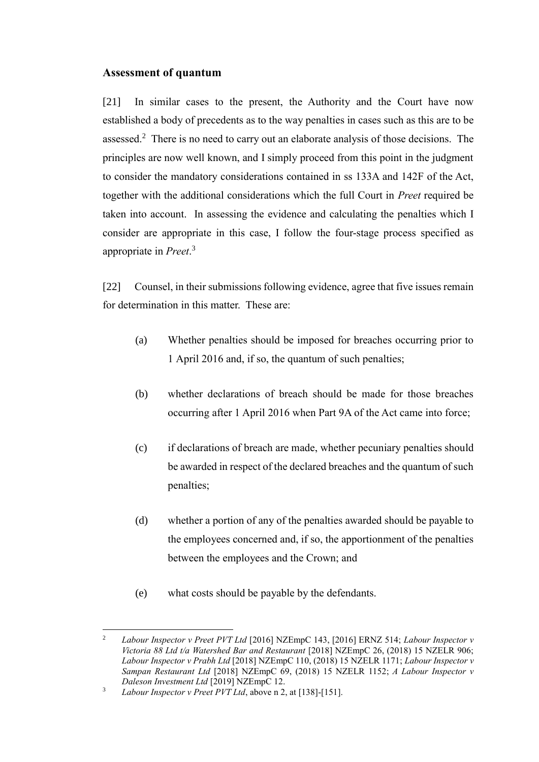## **Assessment of quantum**

[21] In similar cases to the present, the Authority and the Court have now established a body of precedents as to the way penalties in cases such as this are to be assessed.<sup>2</sup> There is no need to carry out an elaborate analysis of those decisions. The principles are now well known, and I simply proceed from this point in the judgment to consider the mandatory considerations contained in ss 133A and 142F of the Act, together with the additional considerations which the full Court in *Preet* required be taken into account. In assessing the evidence and calculating the penalties which I consider are appropriate in this case, I follow the four-stage process specified as appropriate in *Preet*. 3

[22] Counsel, in their submissions following evidence, agree that five issues remain for determination in this matter. These are:

- (a) Whether penalties should be imposed for breaches occurring prior to 1 April 2016 and, if so, the quantum of such penalties;
- (b) whether declarations of breach should be made for those breaches occurring after 1 April 2016 when Part 9A of the Act came into force;
- (c) if declarations of breach are made, whether pecuniary penalties should be awarded in respect of the declared breaches and the quantum of such penalties;
- (d) whether a portion of any of the penalties awarded should be payable to the employees concerned and, if so, the apportionment of the penalties between the employees and the Crown; and
- (e) what costs should be payable by the defendants.

 $\overline{2}$ <sup>2</sup> *Labour Inspector v Preet PVT Ltd* [2016] NZEmpC 143, [2016] ERNZ 514; *Labour Inspector v Victoria 88 Ltd t/a Watershed Bar and Restaurant* [2018] NZEmpC 26, (2018) 15 NZELR 906; *Labour Inspector v Prabh Ltd* [2018] NZEmpC 110, (2018) 15 NZELR 1171; *Labour Inspector v Sampan Restaurant Ltd* [2018] NZEmpC 69, (2018) 15 NZELR 1152; *A Labour Inspector v Daleson Investment Ltd* [2019] NZEmpC 12.

<sup>3</sup> *Labour Inspector v Preet PVT Ltd*, above n 2, at [138]-[151].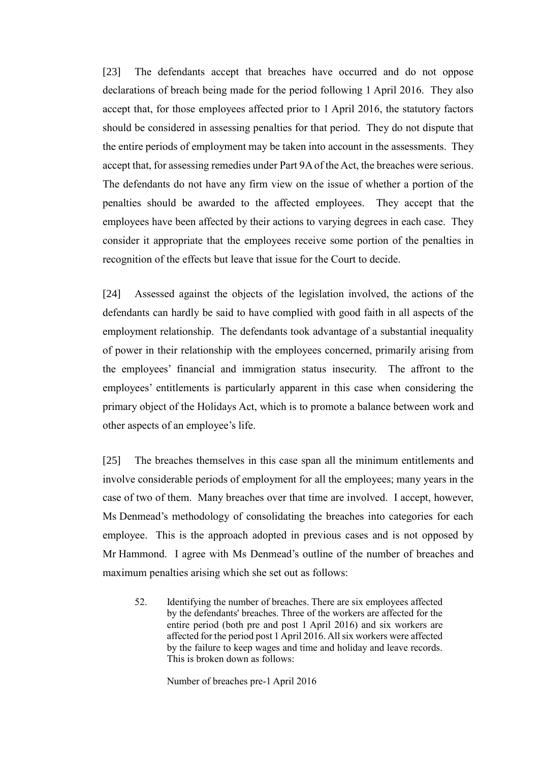[23] The defendants accept that breaches have occurred and do not oppose declarations of breach being made for the period following 1 April 2016. They also accept that, for those employees affected prior to 1 April 2016, the statutory factors should be considered in assessing penalties for that period. They do not dispute that the entire periods of employment may be taken into account in the assessments. They accept that, for assessing remedies under Part 9A of the Act, the breaches were serious. The defendants do not have any firm view on the issue of whether a portion of the penalties should be awarded to the affected employees. They accept that the employees have been affected by their actions to varying degrees in each case. They consider it appropriate that the employees receive some portion of the penalties in recognition of the effects but leave that issue for the Court to decide.

[24] Assessed against the objects of the legislation involved, the actions of the defendants can hardly be said to have complied with good faith in all aspects of the employment relationship. The defendants took advantage of a substantial inequality of power in their relationship with the employees concerned, primarily arising from the employees' financial and immigration status insecurity. The affront to the employees' entitlements is particularly apparent in this case when considering the primary object of the Holidays Act, which is to promote a balance between work and other aspects of an employee's life.

[25] The breaches themselves in this case span all the minimum entitlements and involve considerable periods of employment for all the employees; many years in the case of two of them. Many breaches over that time are involved. I accept, however, Ms Denmead's methodology of consolidating the breaches into categories for each employee. This is the approach adopted in previous cases and is not opposed by Mr Hammond. I agree with Ms Denmead's outline of the number of breaches and maximum penalties arising which she set out as follows:

52. Identifying the number of breaches. There are six employees affected by the defendants' breaches. Three of the workers are affected for the entire period (both pre and post 1 April 2016) and six workers are affected for the period post 1 April 2016. All six workers were affected by the failure to keep wages and time and holiday and leave records. This is broken down as follows:

Number of breaches pre-1 April 2016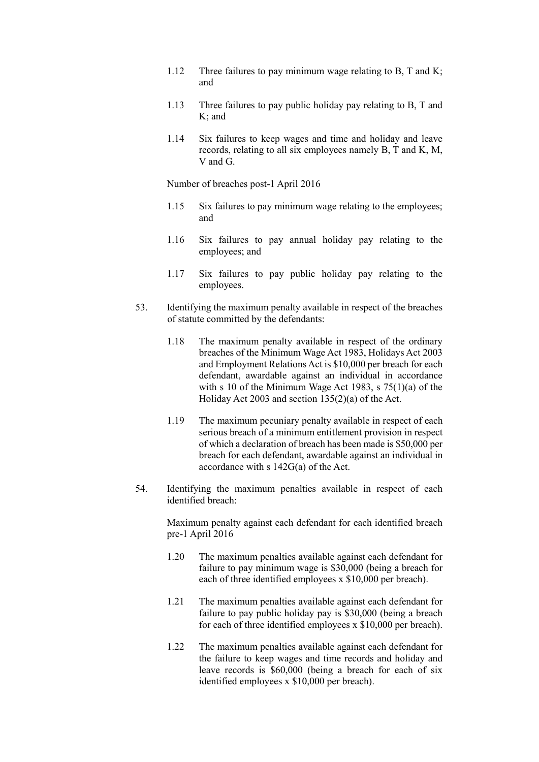- 1.12 Three failures to pay minimum wage relating to B, T and K; and
- 1.13 Three failures to pay public holiday pay relating to B, T and K; and
- 1.14 Six failures to keep wages and time and holiday and leave records, relating to all six employees namely B, T and K, M, V and G.

Number of breaches post-1 April 2016

- 1.15 Six failures to pay minimum wage relating to the employees; and
- 1.16 Six failures to pay annual holiday pay relating to the employees; and
- 1.17 Six failures to pay public holiday pay relating to the employees.
- 53. Identifying the maximum penalty available in respect of the breaches of statute committed by the defendants:
	- 1.18 The maximum penalty available in respect of the ordinary breaches of the Minimum Wage Act 1983, Holidays Act 2003 and Employment Relations Act is \$10,000 per breach for each defendant, awardable against an individual in accordance with s 10 of the Minimum Wage Act 1983, s 75(1)(a) of the Holiday Act 2003 and section 135(2)(a) of the Act.
	- 1.19 The maximum pecuniary penalty available in respect of each serious breach of a minimum entitlement provision in respect of which a declaration of breach has been made is \$50,000 per breach for each defendant, awardable against an individual in accordance with s 142G(a) of the Act.
- 54. Identifying the maximum penalties available in respect of each identified breach:

Maximum penalty against each defendant for each identified breach pre-1 April 2016

- 1.20 The maximum penalties available against each defendant for failure to pay minimum wage is \$30,000 (being a breach for each of three identified employees x \$10,000 per breach).
- 1.21 The maximum penalties available against each defendant for failure to pay public holiday pay is \$30,000 (being a breach for each of three identified employees x \$10,000 per breach).
- 1.22 The maximum penalties available against each defendant for the failure to keep wages and time records and holiday and leave records is \$60,000 (being a breach for each of six identified employees x \$10,000 per breach).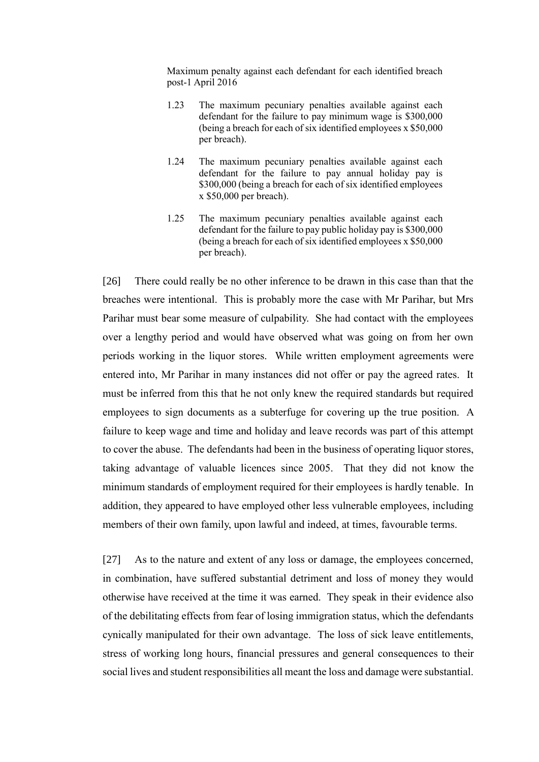Maximum penalty against each defendant for each identified breach post-1 April 2016

- 1.23 The maximum pecuniary penalties available against each defendant for the failure to pay minimum wage is \$300,000 (being a breach for each of six identified employees x \$50,000 per breach).
- 1.24 The maximum pecuniary penalties available against each defendant for the failure to pay annual holiday pay is \$300,000 (being a breach for each of six identified employees x \$50,000 per breach).
- 1.25 The maximum pecuniary penalties available against each defendant for the failure to pay public holiday pay is \$300,000 (being a breach for each of six identified employees x \$50,000 per breach).

[26] There could really be no other inference to be drawn in this case than that the breaches were intentional. This is probably more the case with Mr Parihar, but Mrs Parihar must bear some measure of culpability. She had contact with the employees over a lengthy period and would have observed what was going on from her own periods working in the liquor stores. While written employment agreements were entered into, Mr Parihar in many instances did not offer or pay the agreed rates. It must be inferred from this that he not only knew the required standards but required employees to sign documents as a subterfuge for covering up the true position. A failure to keep wage and time and holiday and leave records was part of this attempt to cover the abuse. The defendants had been in the business of operating liquor stores, taking advantage of valuable licences since 2005. That they did not know the minimum standards of employment required for their employees is hardly tenable. In addition, they appeared to have employed other less vulnerable employees, including members of their own family, upon lawful and indeed, at times, favourable terms.

[27] As to the nature and extent of any loss or damage, the employees concerned, in combination, have suffered substantial detriment and loss of money they would otherwise have received at the time it was earned. They speak in their evidence also of the debilitating effects from fear of losing immigration status, which the defendants cynically manipulated for their own advantage. The loss of sick leave entitlements, stress of working long hours, financial pressures and general consequences to their social lives and student responsibilities all meant the loss and damage were substantial.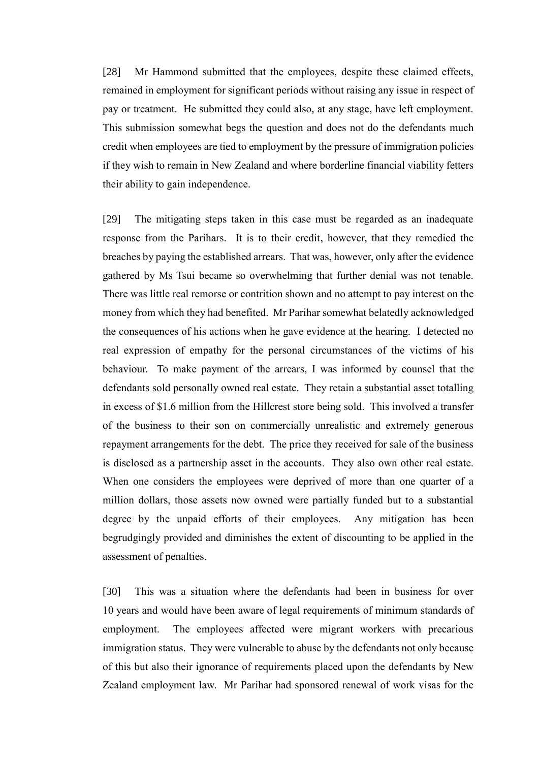[28] Mr Hammond submitted that the employees, despite these claimed effects, remained in employment for significant periods without raising any issue in respect of pay or treatment. He submitted they could also, at any stage, have left employment. This submission somewhat begs the question and does not do the defendants much credit when employees are tied to employment by the pressure of immigration policies if they wish to remain in New Zealand and where borderline financial viability fetters their ability to gain independence.

[29] The mitigating steps taken in this case must be regarded as an inadequate response from the Parihars. It is to their credit, however, that they remedied the breaches by paying the established arrears. That was, however, only after the evidence gathered by Ms Tsui became so overwhelming that further denial was not tenable. There was little real remorse or contrition shown and no attempt to pay interest on the money from which they had benefited. Mr Parihar somewhat belatedly acknowledged the consequences of his actions when he gave evidence at the hearing. I detected no real expression of empathy for the personal circumstances of the victims of his behaviour. To make payment of the arrears, I was informed by counsel that the defendants sold personally owned real estate. They retain a substantial asset totalling in excess of \$1.6 million from the Hillcrest store being sold. This involved a transfer of the business to their son on commercially unrealistic and extremely generous repayment arrangements for the debt. The price they received for sale of the business is disclosed as a partnership asset in the accounts. They also own other real estate. When one considers the employees were deprived of more than one quarter of a million dollars, those assets now owned were partially funded but to a substantial degree by the unpaid efforts of their employees. Any mitigation has been begrudgingly provided and diminishes the extent of discounting to be applied in the assessment of penalties.

[30] This was a situation where the defendants had been in business for over 10 years and would have been aware of legal requirements of minimum standards of employment. The employees affected were migrant workers with precarious immigration status. They were vulnerable to abuse by the defendants not only because of this but also their ignorance of requirements placed upon the defendants by New Zealand employment law. Mr Parihar had sponsored renewal of work visas for the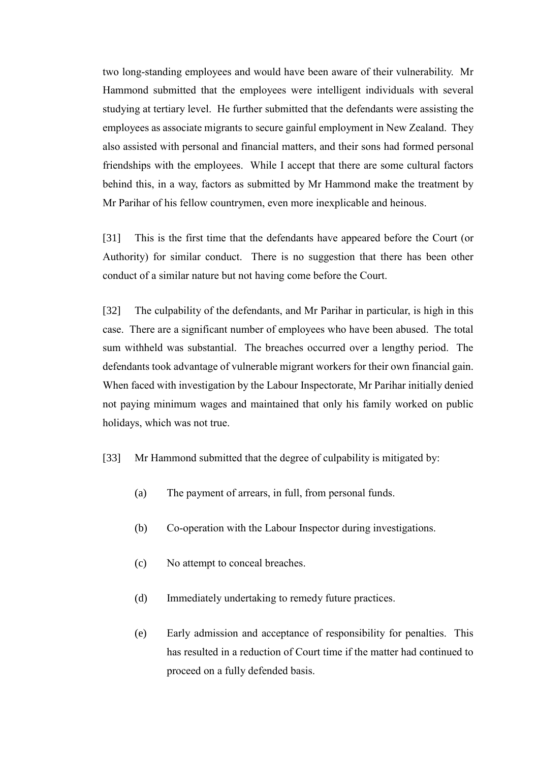two long-standing employees and would have been aware of their vulnerability. Mr Hammond submitted that the employees were intelligent individuals with several studying at tertiary level. He further submitted that the defendants were assisting the employees as associate migrants to secure gainful employment in New Zealand. They also assisted with personal and financial matters, and their sons had formed personal friendships with the employees. While I accept that there are some cultural factors behind this, in a way, factors as submitted by Mr Hammond make the treatment by Mr Parihar of his fellow countrymen, even more inexplicable and heinous.

[31] This is the first time that the defendants have appeared before the Court (or Authority) for similar conduct. There is no suggestion that there has been other conduct of a similar nature but not having come before the Court.

[32] The culpability of the defendants, and Mr Parihar in particular, is high in this case. There are a significant number of employees who have been abused. The total sum withheld was substantial. The breaches occurred over a lengthy period. The defendants took advantage of vulnerable migrant workers for their own financial gain. When faced with investigation by the Labour Inspectorate, Mr Parihar initially denied not paying minimum wages and maintained that only his family worked on public holidays, which was not true.

- [33] Mr Hammond submitted that the degree of culpability is mitigated by:
	- (a) The payment of arrears, in full, from personal funds.
	- (b) Co-operation with the Labour Inspector during investigations.
	- (c) No attempt to conceal breaches.
	- (d) Immediately undertaking to remedy future practices.
	- (e) Early admission and acceptance of responsibility for penalties. This has resulted in a reduction of Court time if the matter had continued to proceed on a fully defended basis.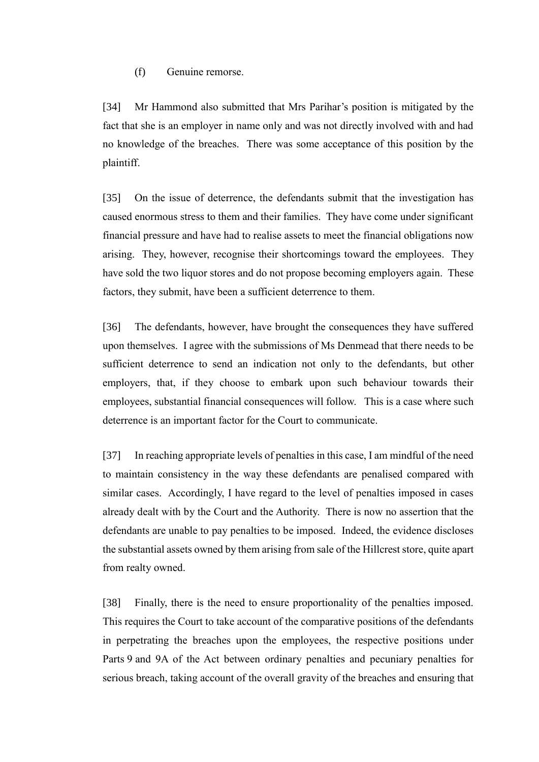(f) Genuine remorse.

[34] Mr Hammond also submitted that Mrs Parihar's position is mitigated by the fact that she is an employer in name only and was not directly involved with and had no knowledge of the breaches. There was some acceptance of this position by the plaintiff.

[35] On the issue of deterrence, the defendants submit that the investigation has caused enormous stress to them and their families. They have come under significant financial pressure and have had to realise assets to meet the financial obligations now arising. They, however, recognise their shortcomings toward the employees. They have sold the two liquor stores and do not propose becoming employers again. These factors, they submit, have been a sufficient deterrence to them.

[36] The defendants, however, have brought the consequences they have suffered upon themselves. I agree with the submissions of Ms Denmead that there needs to be sufficient deterrence to send an indication not only to the defendants, but other employers, that, if they choose to embark upon such behaviour towards their employees, substantial financial consequences will follow. This is a case where such deterrence is an important factor for the Court to communicate.

[37] In reaching appropriate levels of penalties in this case, I am mindful of the need to maintain consistency in the way these defendants are penalised compared with similar cases. Accordingly, I have regard to the level of penalties imposed in cases already dealt with by the Court and the Authority. There is now no assertion that the defendants are unable to pay penalties to be imposed. Indeed, the evidence discloses the substantial assets owned by them arising from sale of the Hillcrest store, quite apart from realty owned.

[38] Finally, there is the need to ensure proportionality of the penalties imposed. This requires the Court to take account of the comparative positions of the defendants in perpetrating the breaches upon the employees, the respective positions under Parts 9 and 9A of the Act between ordinary penalties and pecuniary penalties for serious breach, taking account of the overall gravity of the breaches and ensuring that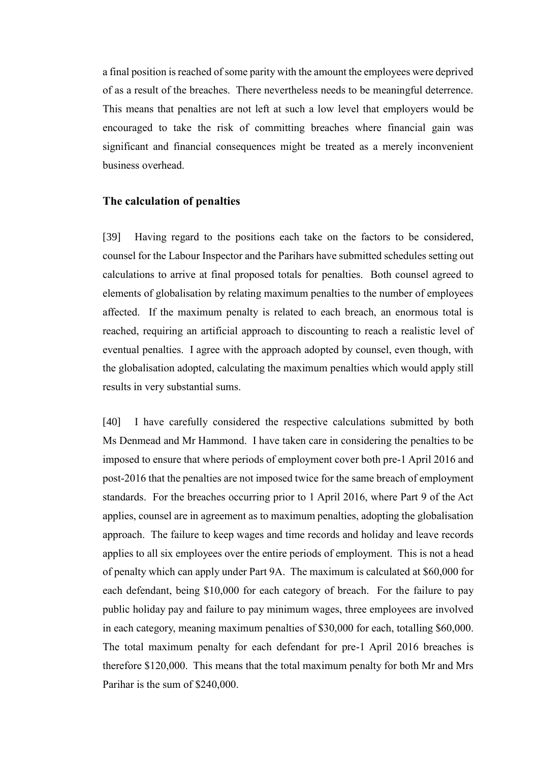a final position is reached of some parity with the amount the employees were deprived of as a result of the breaches. There nevertheless needs to be meaningful deterrence. This means that penalties are not left at such a low level that employers would be encouraged to take the risk of committing breaches where financial gain was significant and financial consequences might be treated as a merely inconvenient business overhead.

#### **The calculation of penalties**

[39] Having regard to the positions each take on the factors to be considered, counsel for the Labour Inspector and the Parihars have submitted schedules setting out calculations to arrive at final proposed totals for penalties. Both counsel agreed to elements of globalisation by relating maximum penalties to the number of employees affected. If the maximum penalty is related to each breach, an enormous total is reached, requiring an artificial approach to discounting to reach a realistic level of eventual penalties. I agree with the approach adopted by counsel, even though, with the globalisation adopted, calculating the maximum penalties which would apply still results in very substantial sums.

[40] I have carefully considered the respective calculations submitted by both Ms Denmead and Mr Hammond. I have taken care in considering the penalties to be imposed to ensure that where periods of employment cover both pre-1 April 2016 and post-2016 that the penalties are not imposed twice for the same breach of employment standards. For the breaches occurring prior to 1 April 2016, where Part 9 of the Act applies, counsel are in agreement as to maximum penalties, adopting the globalisation approach. The failure to keep wages and time records and holiday and leave records applies to all six employees over the entire periods of employment. This is not a head of penalty which can apply under Part 9A. The maximum is calculated at \$60,000 for each defendant, being \$10,000 for each category of breach. For the failure to pay public holiday pay and failure to pay minimum wages, three employees are involved in each category, meaning maximum penalties of \$30,000 for each, totalling \$60,000. The total maximum penalty for each defendant for pre-1 April 2016 breaches is therefore \$120,000. This means that the total maximum penalty for both Mr and Mrs Parihar is the sum of \$240,000.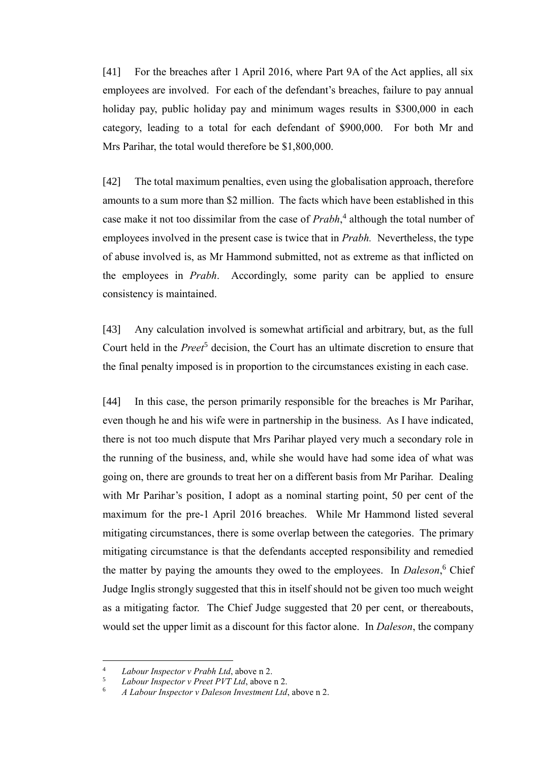[41] For the breaches after 1 April 2016, where Part 9A of the Act applies, all six employees are involved. For each of the defendant's breaches, failure to pay annual holiday pay, public holiday pay and minimum wages results in \$300,000 in each category, leading to a total for each defendant of \$900,000. For both Mr and Mrs Parihar, the total would therefore be \$1,800,000.

[42] The total maximum penalties, even using the globalisation approach, therefore amounts to a sum more than \$2 million. The facts which have been established in this case make it not too dissimilar from the case of *Prabh*, 4 although the total number of employees involved in the present case is twice that in *Prabh.* Nevertheless, the type of abuse involved is, as Mr Hammond submitted, not as extreme as that inflicted on the employees in *Prabh*. Accordingly, some parity can be applied to ensure consistency is maintained.

[43] Any calculation involved is somewhat artificial and arbitrary, but, as the full Court held in the *Preet*<sup>5</sup> decision, the Court has an ultimate discretion to ensure that the final penalty imposed is in proportion to the circumstances existing in each case.

[44] In this case, the person primarily responsible for the breaches is Mr Parihar, even though he and his wife were in partnership in the business. As I have indicated, there is not too much dispute that Mrs Parihar played very much a secondary role in the running of the business, and, while she would have had some idea of what was going on, there are grounds to treat her on a different basis from Mr Parihar. Dealing with Mr Parihar's position, I adopt as a nominal starting point, 50 per cent of the maximum for the pre-1 April 2016 breaches. While Mr Hammond listed several mitigating circumstances, there is some overlap between the categories. The primary mitigating circumstance is that the defendants accepted responsibility and remedied the matter by paying the amounts they owed to the employees. In *Daleson*, <sup>6</sup> Chief Judge Inglis strongly suggested that this in itself should not be given too much weight as a mitigating factor. The Chief Judge suggested that 20 per cent, or thereabouts, would set the upper limit as a discount for this factor alone. In *Daleson*, the company

 $\overline{a}$ 

<sup>4</sup> *Labour Inspector v Prabh Ltd*, above n 2.

<sup>5</sup> *Labour Inspector v Preet PVT Ltd*, above n 2.

<sup>6</sup> *A Labour Inspector v Daleson Investment Ltd*, above n 2.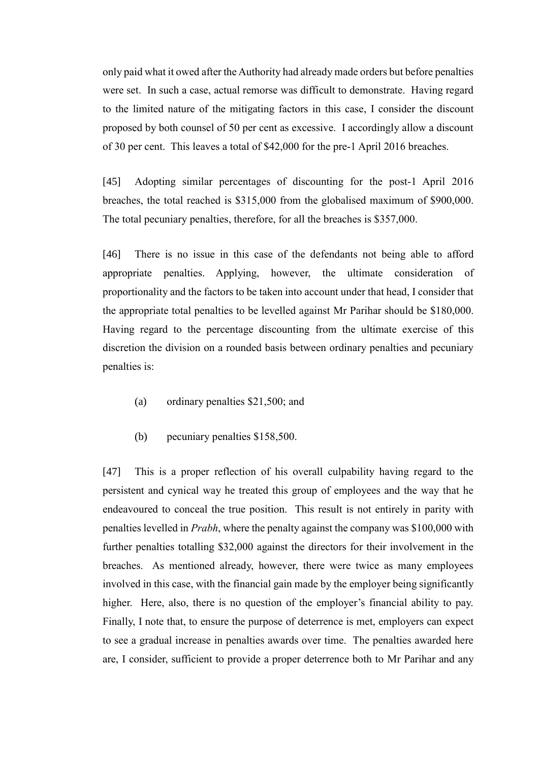only paid what it owed after the Authority had already made orders but before penalties were set. In such a case, actual remorse was difficult to demonstrate. Having regard to the limited nature of the mitigating factors in this case, I consider the discount proposed by both counsel of 50 per cent as excessive. I accordingly allow a discount of 30 per cent. This leaves a total of \$42,000 for the pre-1 April 2016 breaches.

[45] Adopting similar percentages of discounting for the post-1 April 2016 breaches, the total reached is \$315,000 from the globalised maximum of \$900,000. The total pecuniary penalties, therefore, for all the breaches is \$357,000.

[46] There is no issue in this case of the defendants not being able to afford appropriate penalties. Applying, however, the ultimate consideration of proportionality and the factors to be taken into account under that head, I consider that the appropriate total penalties to be levelled against Mr Parihar should be \$180,000. Having regard to the percentage discounting from the ultimate exercise of this discretion the division on a rounded basis between ordinary penalties and pecuniary penalties is:

- (a) ordinary penalties \$21,500; and
- (b) pecuniary penalties \$158,500.

[47] This is a proper reflection of his overall culpability having regard to the persistent and cynical way he treated this group of employees and the way that he endeavoured to conceal the true position. This result is not entirely in parity with penalties levelled in *Prabh*, where the penalty against the company was \$100,000 with further penalties totalling \$32,000 against the directors for their involvement in the breaches. As mentioned already, however, there were twice as many employees involved in this case, with the financial gain made by the employer being significantly higher. Here, also, there is no question of the employer's financial ability to pay. Finally, I note that, to ensure the purpose of deterrence is met, employers can expect to see a gradual increase in penalties awards over time. The penalties awarded here are, I consider, sufficient to provide a proper deterrence both to Mr Parihar and any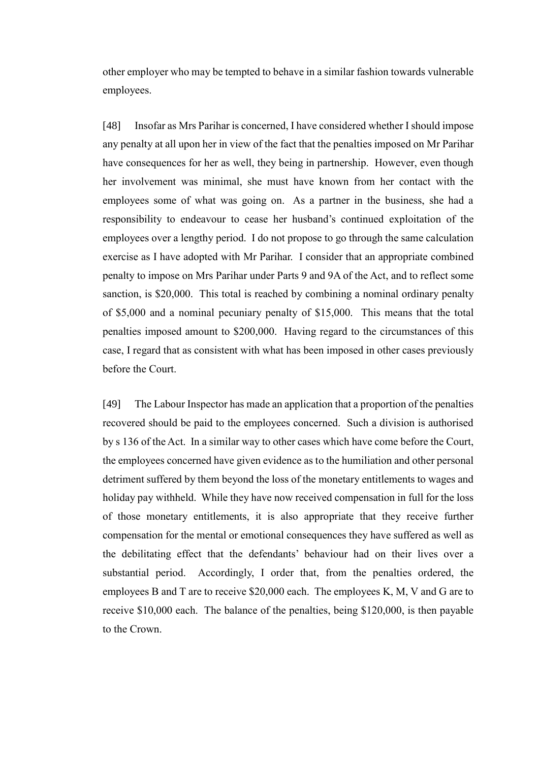other employer who may be tempted to behave in a similar fashion towards vulnerable employees.

[48] Insofar as Mrs Parihar is concerned, I have considered whether I should impose any penalty at all upon her in view of the fact that the penalties imposed on Mr Parihar have consequences for her as well, they being in partnership. However, even though her involvement was minimal, she must have known from her contact with the employees some of what was going on. As a partner in the business, she had a responsibility to endeavour to cease her husband's continued exploitation of the employees over a lengthy period. I do not propose to go through the same calculation exercise as I have adopted with Mr Parihar. I consider that an appropriate combined penalty to impose on Mrs Parihar under Parts 9 and 9A of the Act, and to reflect some sanction, is \$20,000. This total is reached by combining a nominal ordinary penalty of \$5,000 and a nominal pecuniary penalty of \$15,000. This means that the total penalties imposed amount to \$200,000. Having regard to the circumstances of this case, I regard that as consistent with what has been imposed in other cases previously before the Court.

[49] The Labour Inspector has made an application that a proportion of the penalties recovered should be paid to the employees concerned. Such a division is authorised by s 136 of the Act. In a similar way to other cases which have come before the Court, the employees concerned have given evidence as to the humiliation and other personal detriment suffered by them beyond the loss of the monetary entitlements to wages and holiday pay withheld. While they have now received compensation in full for the loss of those monetary entitlements, it is also appropriate that they receive further compensation for the mental or emotional consequences they have suffered as well as the debilitating effect that the defendants' behaviour had on their lives over a substantial period. Accordingly, I order that, from the penalties ordered, the employees B and T are to receive \$20,000 each. The employees K, M, V and G are to receive \$10,000 each. The balance of the penalties, being \$120,000, is then payable to the Crown.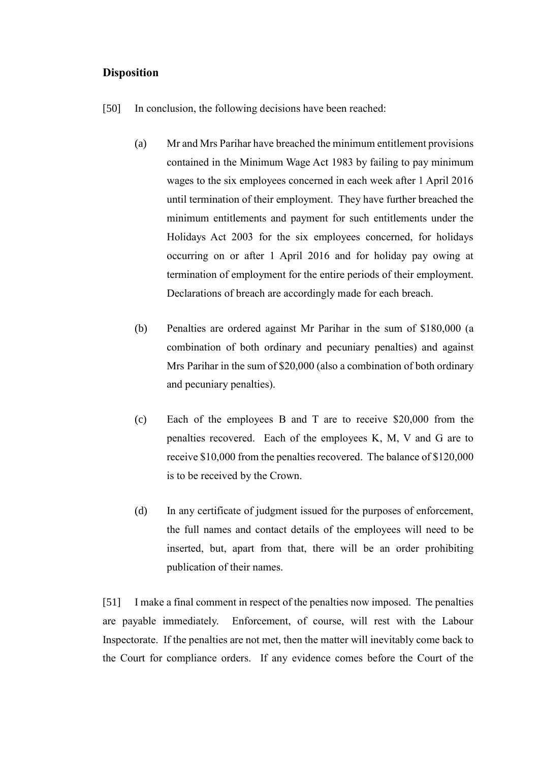### **Disposition**

- [50] In conclusion, the following decisions have been reached:
	- (a) Mr and Mrs Parihar have breached the minimum entitlement provisions contained in the Minimum Wage Act 1983 by failing to pay minimum wages to the six employees concerned in each week after 1 April 2016 until termination of their employment. They have further breached the minimum entitlements and payment for such entitlements under the Holidays Act 2003 for the six employees concerned, for holidays occurring on or after 1 April 2016 and for holiday pay owing at termination of employment for the entire periods of their employment. Declarations of breach are accordingly made for each breach.
	- (b) Penalties are ordered against Mr Parihar in the sum of \$180,000 (a combination of both ordinary and pecuniary penalties) and against Mrs Parihar in the sum of \$20,000 (also a combination of both ordinary and pecuniary penalties).
	- (c) Each of the employees B and T are to receive \$20,000 from the penalties recovered. Each of the employees K, M, V and G are to receive \$10,000 from the penalties recovered. The balance of \$120,000 is to be received by the Crown.
	- (d) In any certificate of judgment issued for the purposes of enforcement, the full names and contact details of the employees will need to be inserted, but, apart from that, there will be an order prohibiting publication of their names.

[51] I make a final comment in respect of the penalties now imposed. The penalties are payable immediately. Enforcement, of course, will rest with the Labour Inspectorate. If the penalties are not met, then the matter will inevitably come back to the Court for compliance orders. If any evidence comes before the Court of the